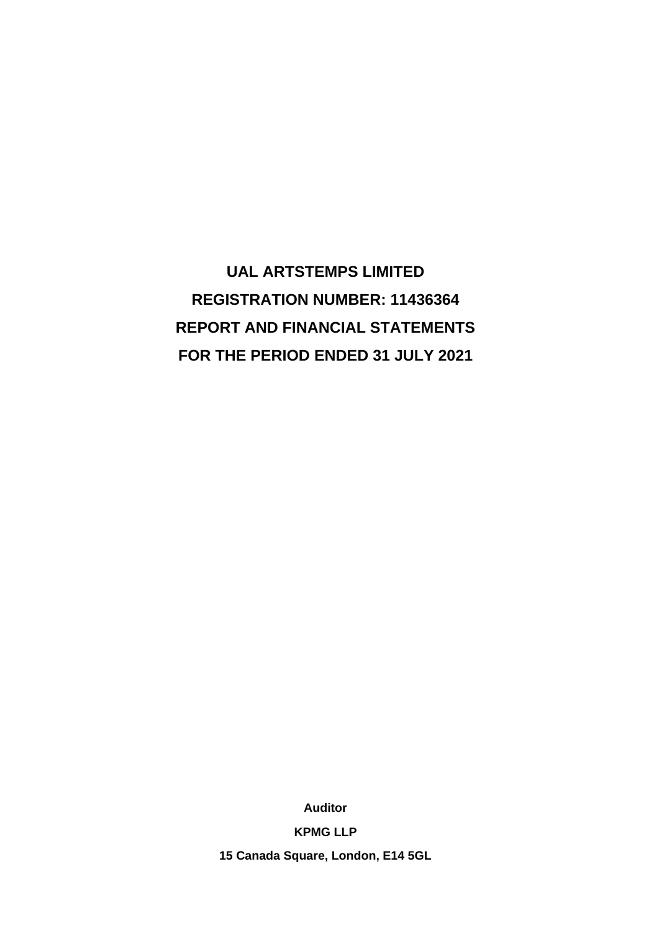**UAL ARTSTEMPS LIMITED REGISTRATION NUMBER: 11436364 REPORT AND FINANCIAL STATEMENTS FOR THE PERIOD ENDED 31 JULY 2021**

**Auditor**

**KPMG LLP**

**15 Canada Square, London, E14 5GL**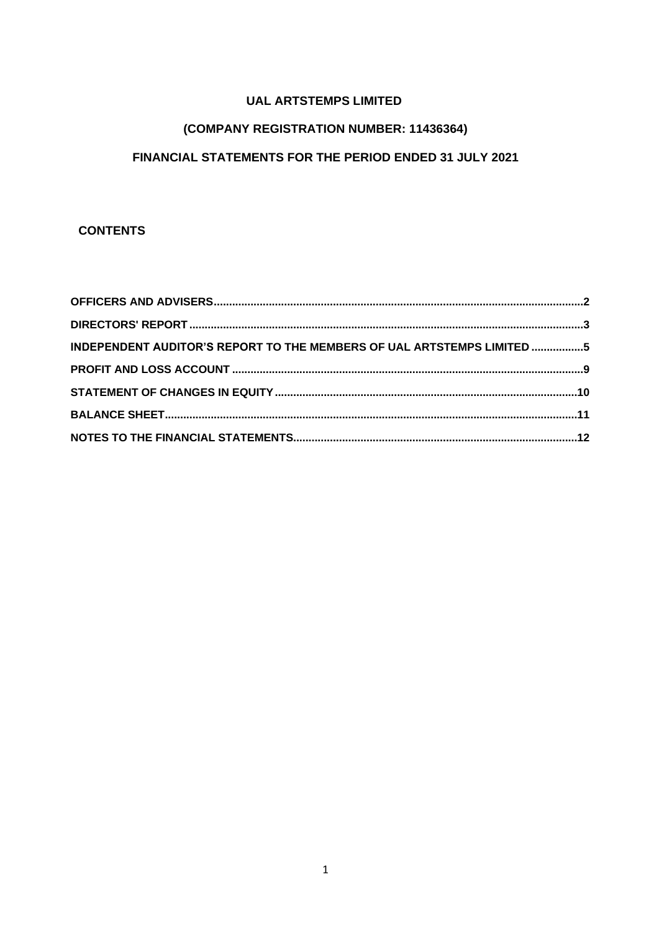# (COMPANY REGISTRATION NUMBER: 11436364)

# FINANCIAL STATEMENTS FOR THE PERIOD ENDED 31 JULY 2021

# **CONTENTS**

| INDEPENDENT AUDITOR'S REPORT TO THE MEMBERS OF UAL ARTSTEMPS LIMITED 5 |  |
|------------------------------------------------------------------------|--|
|                                                                        |  |
|                                                                        |  |
|                                                                        |  |
|                                                                        |  |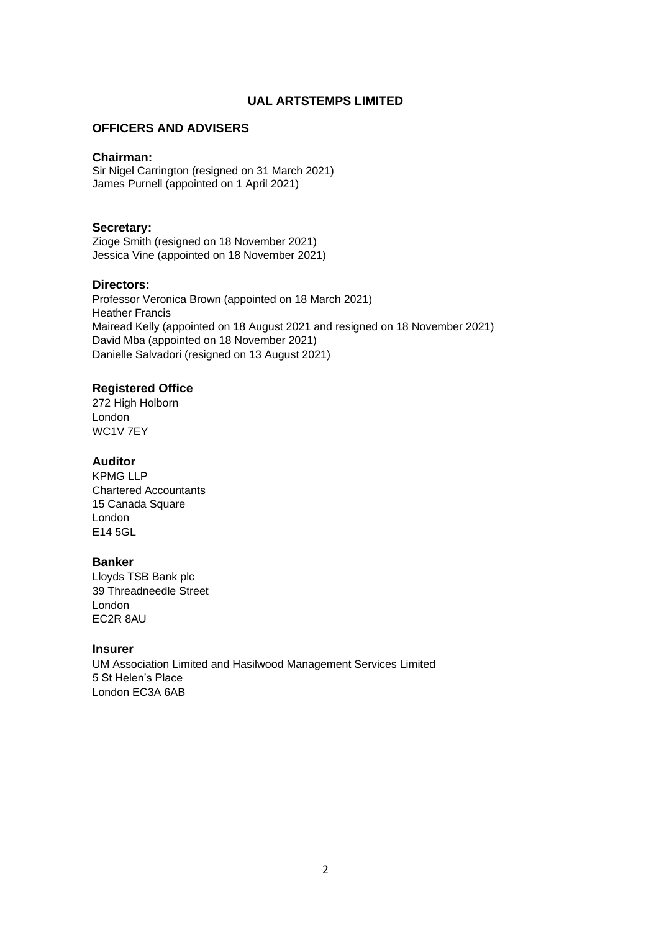### **OFFICERS AND ADVISERS**

#### **Chairman:**

Sir Nigel Carrington (resigned on 31 March 2021) James Purnell (appointed on 1 April 2021)

### **Secretary:**

Zioge Smith (resigned on 18 November 2021) Jessica Vine (appointed on 18 November 2021)

### **Directors:**

Professor Veronica Brown (appointed on 18 March 2021) Heather Francis Mairead Kelly (appointed on 18 August 2021 and resigned on 18 November 2021) David Mba (appointed on 18 November 2021) Danielle Salvadori (resigned on 13 August 2021)

# **Registered Office**

272 High Holborn London WC1V 7EY

# **Auditor**

KPMG LLP Chartered Accountants 15 Canada Square London E14 5GL

#### **Banker**

Lloyds TSB Bank plc 39 Threadneedle Street London EC2R 8AU

#### **Insurer**

UM Association Limited and Hasilwood Management Services Limited 5 St Helen's Place London EC3A 6AB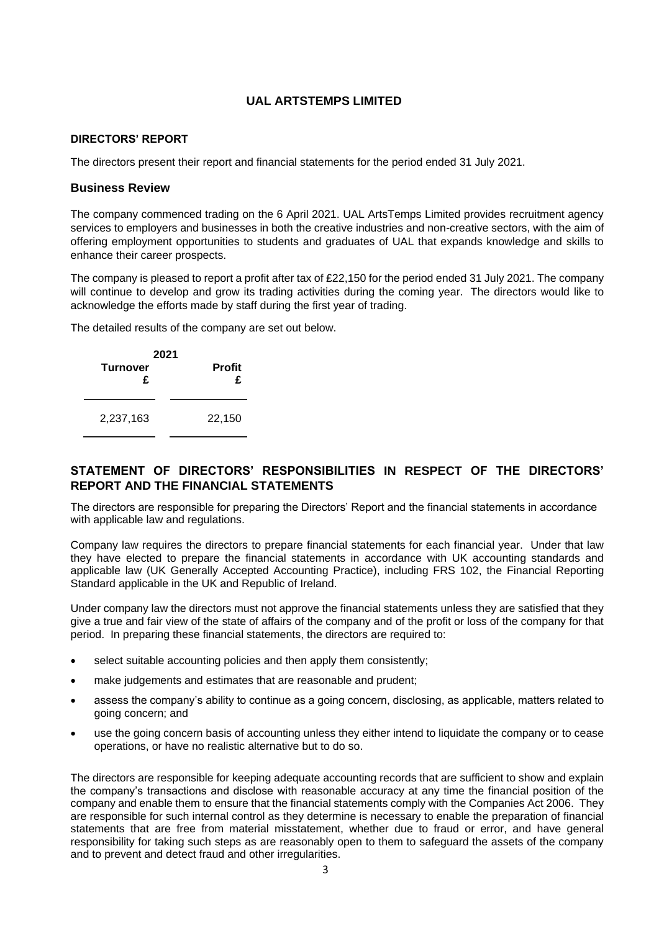### **DIRECTORS' REPORT**

The directors present their report and financial statements for the period ended 31 July 2021.

# **Business Review**

The company commenced trading on the 6 April 2021. UAL ArtsTemps Limited provides recruitment agency services to employers and businesses in both the creative industries and non-creative sectors, with the aim of offering employment opportunities to students and graduates of UAL that expands knowledge and skills to enhance their career prospects.

The company is pleased to report a profit after tax of £22,150 for the period ended 31 July 2021. The company will continue to develop and grow its trading activities during the coming year. The directors would like to acknowledge the efforts made by staff during the first year of trading.

The detailed results of the company are set out below.

| <b>Turnover</b><br>£ | 2021<br><b>Profit</b><br>£ |
|----------------------|----------------------------|
| 2,237,163            | 22,150                     |

# **STATEMENT OF DIRECTORS' RESPONSIBILITIES IN RESPECT OF THE DIRECTORS' REPORT AND THE FINANCIAL STATEMENTS**

The directors are responsible for preparing the Directors' Report and the financial statements in accordance with applicable law and regulations.

Company law requires the directors to prepare financial statements for each financial year. Under that law they have elected to prepare the financial statements in accordance with UK accounting standards and applicable law (UK Generally Accepted Accounting Practice), including FRS 102, the Financial Reporting Standard applicable in the UK and Republic of Ireland.

Under company law the directors must not approve the financial statements unless they are satisfied that they give a true and fair view of the state of affairs of the company and of the profit or loss of the company for that period. In preparing these financial statements, the directors are required to:

- select suitable accounting policies and then apply them consistently;
- make judgements and estimates that are reasonable and prudent;
- assess the company's ability to continue as a going concern, disclosing, as applicable, matters related to going concern; and
- use the going concern basis of accounting unless they either intend to liquidate the company or to cease operations, or have no realistic alternative but to do so.

The directors are responsible for keeping adequate accounting records that are sufficient to show and explain the company's transactions and disclose with reasonable accuracy at any time the financial position of the company and enable them to ensure that the financial statements comply with the Companies Act 2006. They are responsible for such internal control as they determine is necessary to enable the preparation of financial statements that are free from material misstatement, whether due to fraud or error, and have general responsibility for taking such steps as are reasonably open to them to safeguard the assets of the company and to prevent and detect fraud and other irregularities.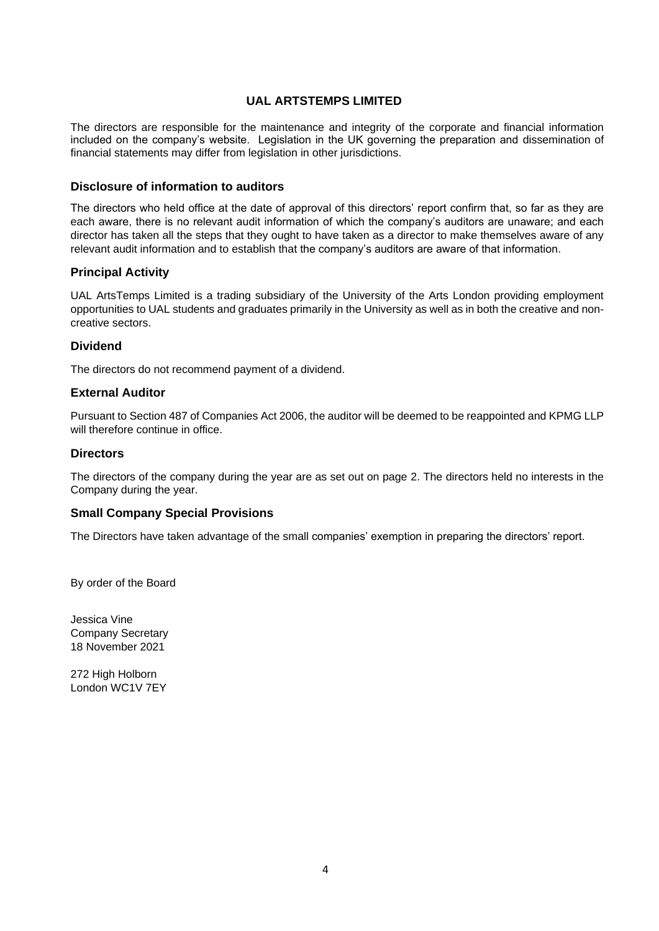The directors are responsible for the maintenance and integrity of the corporate and financial information included on the company's website. Legislation in the UK governing the preparation and dissemination of financial statements may differ from legislation in other jurisdictions.

#### **Disclosure of information to auditors**

The directors who held office at the date of approval of this directors' report confirm that, so far as they are each aware, there is no relevant audit information of which the company's auditors are unaware; and each director has taken all the steps that they ought to have taken as a director to make themselves aware of any relevant audit information and to establish that the company's auditors are aware of that information.

### **Principal Activity**

UAL ArtsTemps Limited is a trading subsidiary of the University of the Arts London providing employment opportunities to UAL students and graduates primarily in the University as well as in both the creative and noncreative sectors.

#### **Dividend**

The directors do not recommend payment of a dividend.

### **External Auditor**

Pursuant to Section 487 of Companies Act 2006, the auditor will be deemed to be reappointed and KPMG LLP will therefore continue in office.

#### **Directors**

The directors of the company during the year are as set out on page 2. The directors held no interests in the Company during the year.

#### **Small Company Special Provisions**

The Directors have taken advantage of the small companies' exemption in preparing the directors' report.

By order of the Board

Jessica Vine Company Secretary 18 November 2021

272 High Holborn London WC1V 7EY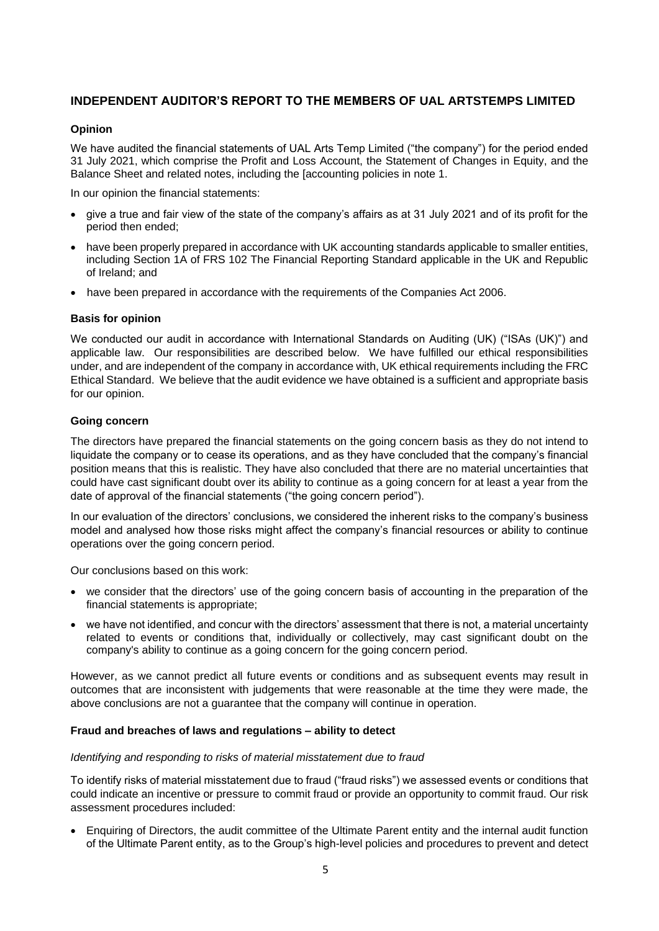# **INDEPENDENT AUDITOR'S REPORT TO THE MEMBERS OF UAL ARTSTEMPS LIMITED**

#### **Opinion**

We have audited the financial statements of UAL Arts Temp Limited ("the company") for the period ended 31 July 2021, which comprise the Profit and Loss Account, the Statement of Changes in Equity, and the Balance Sheet and related notes, including the [accounting policies in note 1.

In our opinion the financial statements:

- give a true and fair view of the state of the company's affairs as at 31 July 2021 and of its profit for the period then ended;
- have been properly prepared in accordance with UK accounting standards applicable to smaller entities, including Section 1A of FRS 102 The Financial Reporting Standard applicable in the UK and Republic of Ireland; and
- have been prepared in accordance with the requirements of the Companies Act 2006.

#### **Basis for opinion**

We conducted our audit in accordance with International Standards on Auditing (UK) ("ISAs (UK)") and applicable law. Our responsibilities are described below. We have fulfilled our ethical responsibilities under, and are independent of the company in accordance with, UK ethical requirements including the FRC Ethical Standard. We believe that the audit evidence we have obtained is a sufficient and appropriate basis for our opinion.

#### **Going concern**

The directors have prepared the financial statements on the going concern basis as they do not intend to liquidate the company or to cease its operations, and as they have concluded that the company's financial position means that this is realistic. They have also concluded that there are no material uncertainties that could have cast significant doubt over its ability to continue as a going concern for at least a year from the date of approval of the financial statements ("the going concern period").

In our evaluation of the directors' conclusions, we considered the inherent risks to the company's business model and analysed how those risks might affect the company's financial resources or ability to continue operations over the going concern period.

Our conclusions based on this work:

- we consider that the directors' use of the going concern basis of accounting in the preparation of the financial statements is appropriate;
- we have not identified, and concur with the directors' assessment that there is not, a material uncertainty related to events or conditions that, individually or collectively, may cast significant doubt on the company's ability to continue as a going concern for the going concern period.

However, as we cannot predict all future events or conditions and as subsequent events may result in outcomes that are inconsistent with judgements that were reasonable at the time they were made, the above conclusions are not a guarantee that the company will continue in operation.

#### **Fraud and breaches of laws and regulations – ability to detect**

#### *Identifying and responding to risks of material misstatement due to fraud*

To identify risks of material misstatement due to fraud ("fraud risks") we assessed events or conditions that could indicate an incentive or pressure to commit fraud or provide an opportunity to commit fraud. Our risk assessment procedures included:

• Enquiring of Directors, the audit committee of the Ultimate Parent entity and the internal audit function of the Ultimate Parent entity, as to the Group's high-level policies and procedures to prevent and detect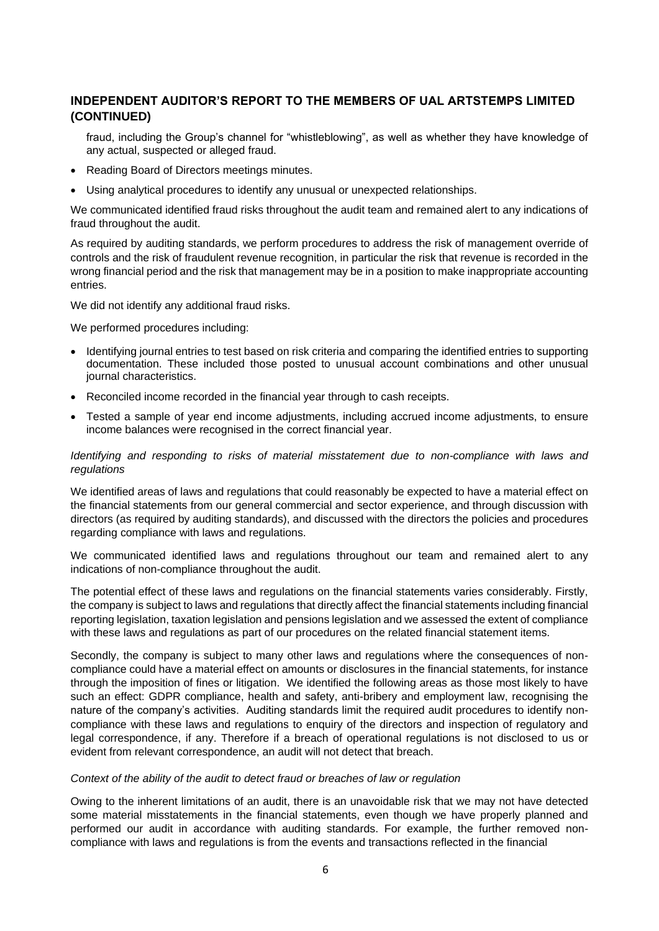# **INDEPENDENT AUDITOR'S REPORT TO THE MEMBERS OF UAL ARTSTEMPS LIMITED (CONTINUED)**

- fraud, including the Group's channel for "whistleblowing", as well as whether they have knowledge of any actual, suspected or alleged fraud.
- Reading Board of Directors meetings minutes.
- Using analytical procedures to identify any unusual or unexpected relationships.

We communicated identified fraud risks throughout the audit team and remained alert to any indications of fraud throughout the audit.

As required by auditing standards, we perform procedures to address the risk of management override of controls and the risk of fraudulent revenue recognition, in particular the risk that revenue is recorded in the wrong financial period and the risk that management may be in a position to make inappropriate accounting entries.

We did not identify any additional fraud risks.

We performed procedures including:

- Identifying journal entries to test based on risk criteria and comparing the identified entries to supporting documentation. These included those posted to unusual account combinations and other unusual journal characteristics.
- Reconciled income recorded in the financial year through to cash receipts.
- Tested a sample of year end income adjustments, including accrued income adjustments, to ensure income balances were recognised in the correct financial year.

*Identifying and responding to risks of material misstatement due to non-compliance with laws and regulations*

We identified areas of laws and regulations that could reasonably be expected to have a material effect on the financial statements from our general commercial and sector experience, and through discussion with directors (as required by auditing standards), and discussed with the directors the policies and procedures regarding compliance with laws and regulations.

We communicated identified laws and regulations throughout our team and remained alert to any indications of non-compliance throughout the audit.

The potential effect of these laws and regulations on the financial statements varies considerably. Firstly, the company is subject to laws and regulations that directly affect the financial statements including financial reporting legislation, taxation legislation and pensions legislation and we assessed the extent of compliance with these laws and regulations as part of our procedures on the related financial statement items.

Secondly, the company is subject to many other laws and regulations where the consequences of noncompliance could have a material effect on amounts or disclosures in the financial statements, for instance through the imposition of fines or litigation. We identified the following areas as those most likely to have such an effect: GDPR compliance, health and safety, anti-bribery and employment law, recognising the nature of the company's activities. Auditing standards limit the required audit procedures to identify noncompliance with these laws and regulations to enquiry of the directors and inspection of regulatory and legal correspondence, if any. Therefore if a breach of operational regulations is not disclosed to us or evident from relevant correspondence, an audit will not detect that breach.

#### *Context of the ability of the audit to detect fraud or breaches of law or regulation*

Owing to the inherent limitations of an audit, there is an unavoidable risk that we may not have detected some material misstatements in the financial statements, even though we have properly planned and performed our audit in accordance with auditing standards. For example, the further removed noncompliance with laws and regulations is from the events and transactions reflected in the financial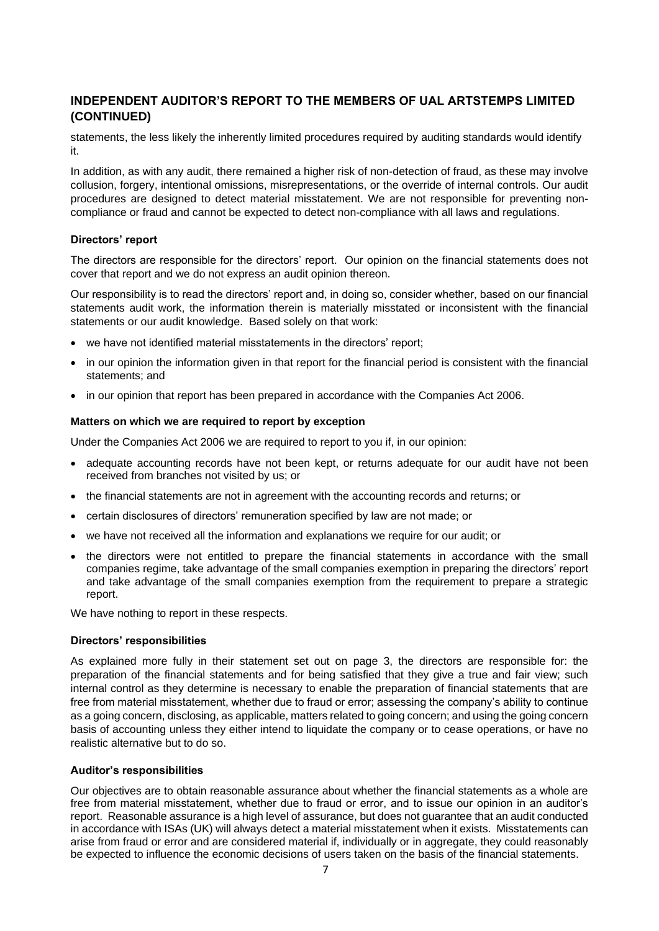# **INDEPENDENT AUDITOR'S REPORT TO THE MEMBERS OF UAL ARTSTEMPS LIMITED (CONTINUED)**

statements, the less likely the inherently limited procedures required by auditing standards would identify it.

In addition, as with any audit, there remained a higher risk of non-detection of fraud, as these may involve collusion, forgery, intentional omissions, misrepresentations, or the override of internal controls. Our audit procedures are designed to detect material misstatement. We are not responsible for preventing noncompliance or fraud and cannot be expected to detect non-compliance with all laws and regulations.

#### **Directors' report**

The directors are responsible for the directors' report. Our opinion on the financial statements does not cover that report and we do not express an audit opinion thereon.

Our responsibility is to read the directors' report and, in doing so, consider whether, based on our financial statements audit work, the information therein is materially misstated or inconsistent with the financial statements or our audit knowledge. Based solely on that work:

- we have not identified material misstatements in the directors' report;
- in our opinion the information given in that report for the financial period is consistent with the financial statements; and
- in our opinion that report has been prepared in accordance with the Companies Act 2006.

#### **Matters on which we are required to report by exception**

Under the Companies Act 2006 we are required to report to you if, in our opinion:

- adequate accounting records have not been kept, or returns adequate for our audit have not been received from branches not visited by us; or
- the financial statements are not in agreement with the accounting records and returns; or
- certain disclosures of directors' remuneration specified by law are not made; or
- we have not received all the information and explanations we require for our audit; or
- the directors were not entitled to prepare the financial statements in accordance with the small companies regime, take advantage of the small companies exemption in preparing the directors' report and take advantage of the small companies exemption from the requirement to prepare a strategic report.

We have nothing to report in these respects.

#### **Directors' responsibilities**

As explained more fully in their statement set out on page 3, the directors are responsible for: the preparation of the financial statements and for being satisfied that they give a true and fair view; such internal control as they determine is necessary to enable the preparation of financial statements that are free from material misstatement, whether due to fraud or error; assessing the company's ability to continue as a going concern, disclosing, as applicable, matters related to going concern; and using the going concern basis of accounting unless they either intend to liquidate the company or to cease operations, or have no realistic alternative but to do so.

#### **Auditor's responsibilities**

Our objectives are to obtain reasonable assurance about whether the financial statements as a whole are free from material misstatement, whether due to fraud or error, and to issue our opinion in an auditor's report. Reasonable assurance is a high level of assurance, but does not guarantee that an audit conducted in accordance with ISAs (UK) will always detect a material misstatement when it exists. Misstatements can arise from fraud or error and are considered material if, individually or in aggregate, they could reasonably be expected to influence the economic decisions of users taken on the basis of the financial statements.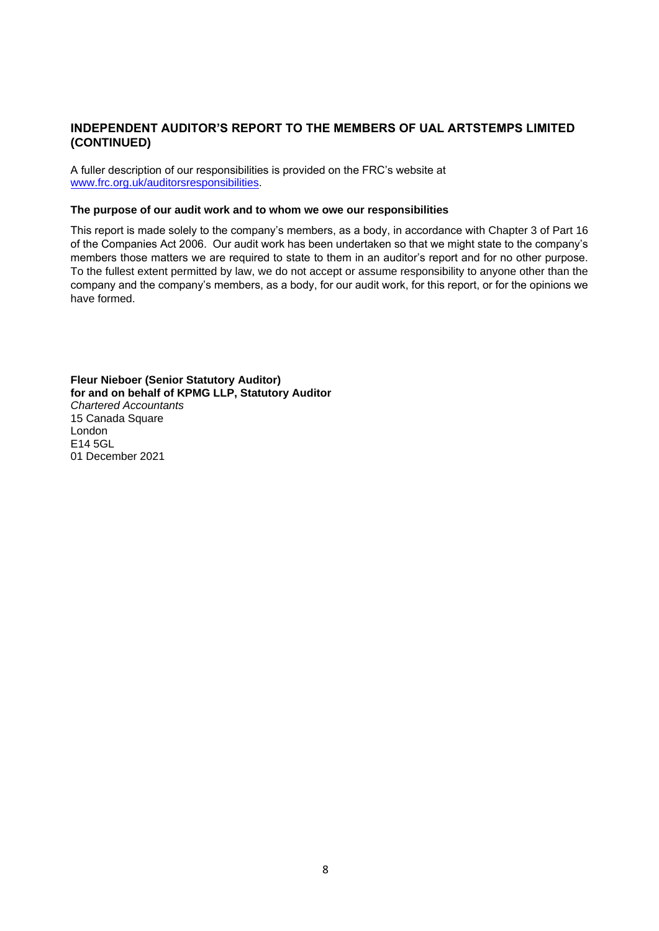# **INDEPENDENT AUDITOR'S REPORT TO THE MEMBERS OF UAL ARTSTEMPS LIMITED (CONTINUED)**

A fuller description of our responsibilities is provided on the FRC's website at [www.frc.org.uk/auditorsresponsibilities.](http://www.frc.org.uk/auditorsresponsibilities)

#### **The purpose of our audit work and to whom we owe our responsibilities**

This report is made solely to the company's members, as a body, in accordance with Chapter 3 of Part 16 of the Companies Act 2006. Our audit work has been undertaken so that we might state to the company's members those matters we are required to state to them in an auditor's report and for no other purpose. To the fullest extent permitted by law, we do not accept or assume responsibility to anyone other than the company and the company's members, as a body, for our audit work, for this report, or for the opinions we have formed.

**Fleur Nieboer (Senior Statutory Auditor) for and on behalf of KPMG LLP, Statutory Auditor**  *Chartered Accountants*  15 Canada Square London E14 5GL 01 December 2021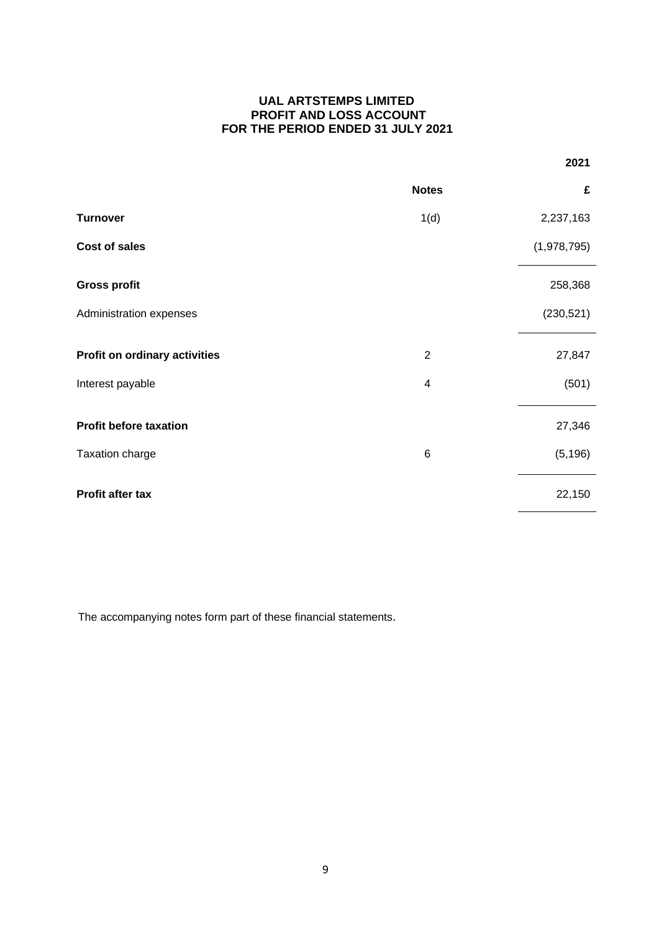# **UAL ARTSTEMPS LIMITED PROFIT AND LOSS ACCOUNT FOR THE PERIOD ENDED 31 JULY 2021**

|                               |                         | 2021        |
|-------------------------------|-------------------------|-------------|
|                               | <b>Notes</b>            | £           |
| <b>Turnover</b>               | 1(d)                    | 2,237,163   |
| Cost of sales                 |                         | (1,978,795) |
| <b>Gross profit</b>           |                         | 258,368     |
| Administration expenses       |                         | (230, 521)  |
| Profit on ordinary activities | $\overline{2}$          | 27,847      |
| Interest payable              | $\overline{\mathbf{4}}$ | (501)       |
| <b>Profit before taxation</b> |                         | 27,346      |
| Taxation charge               | $\,6$                   | (5, 196)    |
| Profit after tax              |                         | 22,150      |

The accompanying notes form part of these financial statements.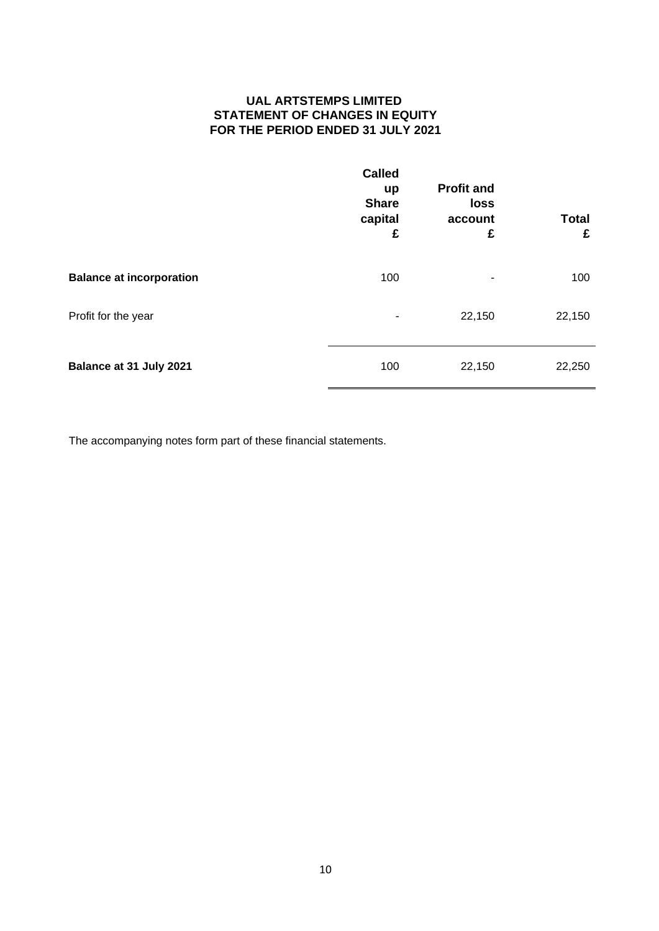# **UAL ARTSTEMPS LIMITED STATEMENT OF CHANGES IN EQUITY FOR THE PERIOD ENDED 31 JULY 2021**

|                                 | <b>Called</b><br>up<br><b>Share</b><br>capital<br>£ | <b>Profit and</b><br>loss<br>account<br>£ | <b>Total</b><br>£ |
|---------------------------------|-----------------------------------------------------|-------------------------------------------|-------------------|
| <b>Balance at incorporation</b> | 100                                                 | ٠                                         | 100               |
| Profit for the year             | ۰                                                   | 22,150                                    | 22,150            |
| Balance at 31 July 2021         | 100                                                 | 22,150                                    | 22,250            |

The accompanying notes form part of these financial statements.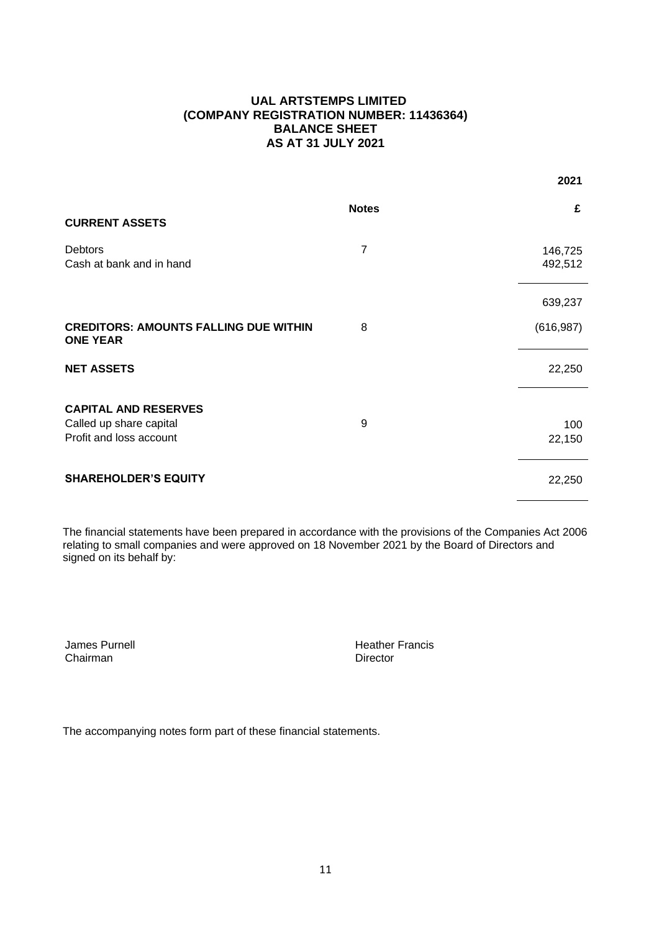# **UAL ARTSTEMPS LIMITED (COMPANY REGISTRATION NUMBER: 11436364) BALANCE SHEET AS AT 31 JULY 2021**

 **2021**

| <b>CURRENT ASSETS</b>                                                             | <b>Notes</b>   | £                     |
|-----------------------------------------------------------------------------------|----------------|-----------------------|
| <b>Debtors</b><br>Cash at bank and in hand                                        | $\overline{7}$ | 146,725<br>492,512    |
| <b>CREDITORS: AMOUNTS FALLING DUE WITHIN</b><br><b>ONE YEAR</b>                   | 8              | 639,237<br>(616, 987) |
| <b>NET ASSETS</b>                                                                 |                | 22,250                |
| <b>CAPITAL AND RESERVES</b><br>Called up share capital<br>Profit and loss account | 9              | 100<br>22,150         |
| <b>SHAREHOLDER'S EQUITY</b>                                                       |                | 22,250                |

The financial statements have been prepared in accordance with the provisions of the Companies Act 2006 relating to small companies and were approved on 18 November 2021 by the Board of Directors and signed on its behalf by:

James Purnell Chairman

Heather Francis **Director** 

The accompanying notes form part of these financial statements.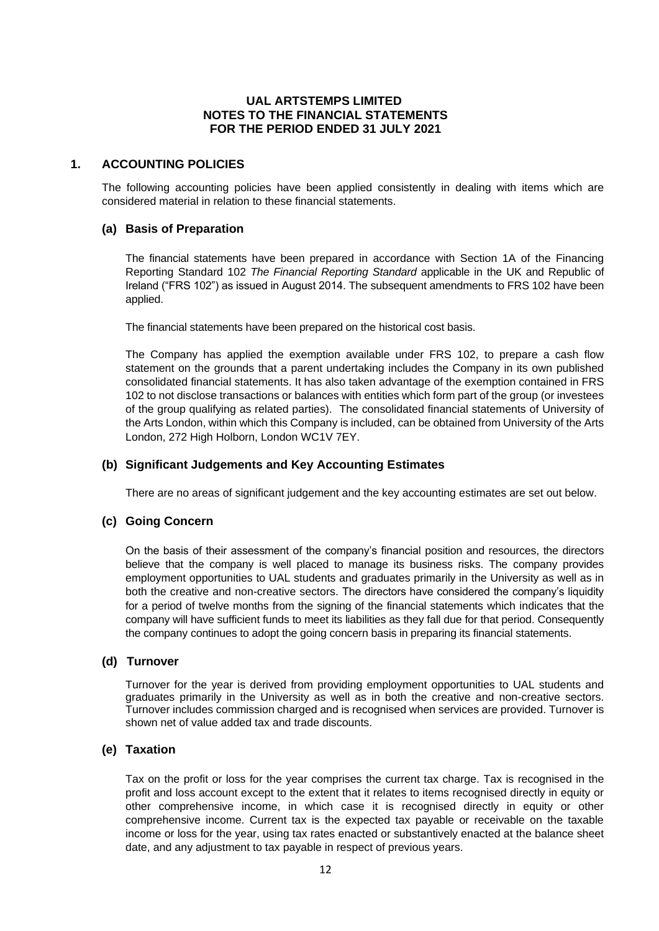# **1. ACCOUNTING POLICIES**

The following accounting policies have been applied consistently in dealing with items which are considered material in relation to these financial statements.

#### **(a) Basis of Preparation**

The financial statements have been prepared in accordance with Section 1A of the Financing Reporting Standard 102 *The Financial Reporting Standard* applicable in the UK and Republic of Ireland ("FRS 102") as issued in August 2014. The subsequent amendments to FRS 102 have been applied.

The financial statements have been prepared on the historical cost basis.

The Company has applied the exemption available under FRS 102, to prepare a cash flow statement on the grounds that a parent undertaking includes the Company in its own published consolidated financial statements. It has also taken advantage of the exemption contained in FRS 102 to not disclose transactions or balances with entities which form part of the group (or investees of the group qualifying as related parties). The consolidated financial statements of University of the Arts London, within which this Company is included, can be obtained from University of the Arts London, 272 High Holborn, London WC1V 7EY.

### **(b) Significant Judgements and Key Accounting Estimates**

There are no areas of significant judgement and the key accounting estimates are set out below.

#### **(c) Going Concern**

On the basis of their assessment of the company's financial position and resources, the directors believe that the company is well placed to manage its business risks. The company provides employment opportunities to UAL students and graduates primarily in the University as well as in both the creative and non-creative sectors. The directors have considered the company's liquidity for a period of twelve months from the signing of the financial statements which indicates that the company will have sufficient funds to meet its liabilities as they fall due for that period. Consequently the company continues to adopt the going concern basis in preparing its financial statements.

#### **(d) Turnover**

Turnover for the year is derived from providing employment opportunities to UAL students and graduates primarily in the University as well as in both the creative and non-creative sectors. Turnover includes commission charged and is recognised when services are provided. Turnover is shown net of value added tax and trade discounts.

#### **(e) Taxation**

Tax on the profit or loss for the year comprises the current tax charge. Tax is recognised in the profit and loss account except to the extent that it relates to items recognised directly in equity or other comprehensive income, in which case it is recognised directly in equity or other comprehensive income. Current tax is the expected tax payable or receivable on the taxable income or loss for the year, using tax rates enacted or substantively enacted at the balance sheet date, and any adjustment to tax payable in respect of previous years.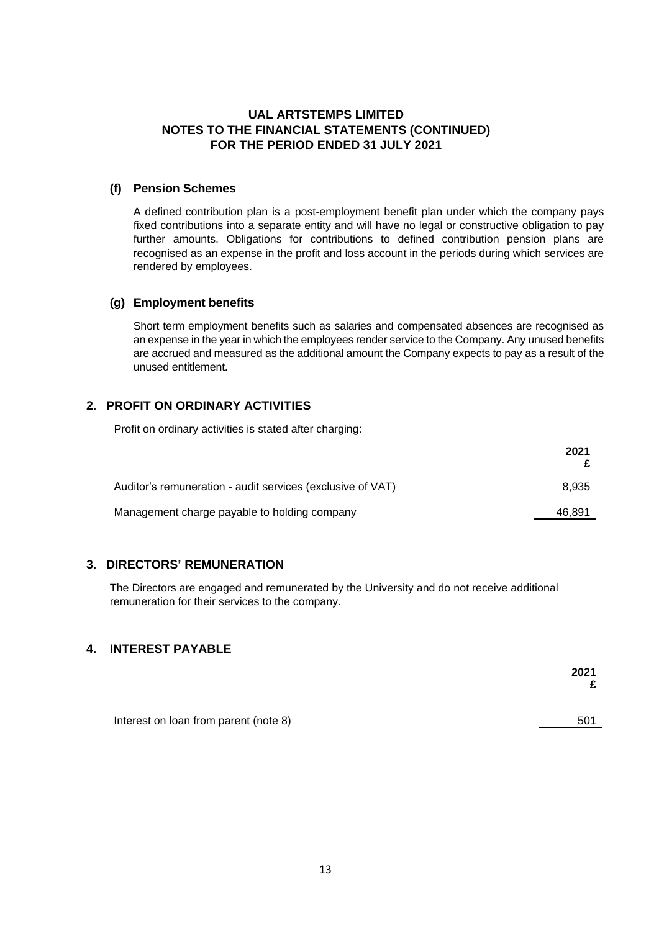# **(f) Pension Schemes**

A defined contribution plan is a post-employment benefit plan under which the company pays fixed contributions into a separate entity and will have no legal or constructive obligation to pay further amounts. Obligations for contributions to defined contribution pension plans are recognised as an expense in the profit and loss account in the periods during which services are rendered by employees.

### **(g) Employment benefits**

Short term employment benefits such as salaries and compensated absences are recognised as an expense in the year in which the employees render service to the Company. Any unused benefits are accrued and measured as the additional amount the Company expects to pay as a result of the unused entitlement.

# **2. PROFIT ON ORDINARY ACTIVITIES**

Profit on ordinary activities is stated after charging:

|                                                            | 2021   |
|------------------------------------------------------------|--------|
| Auditor's remuneration - audit services (exclusive of VAT) | 8.935  |
| Management charge payable to holding company               | 46,891 |

# **3. DIRECTORS' REMUNERATION**

The Directors are engaged and remunerated by the University and do not receive additional remuneration for their services to the company.

# **4. INTEREST PAYABLE**

|                                       | 2021<br>£ |
|---------------------------------------|-----------|
| Interest on loan from parent (note 8) | 501       |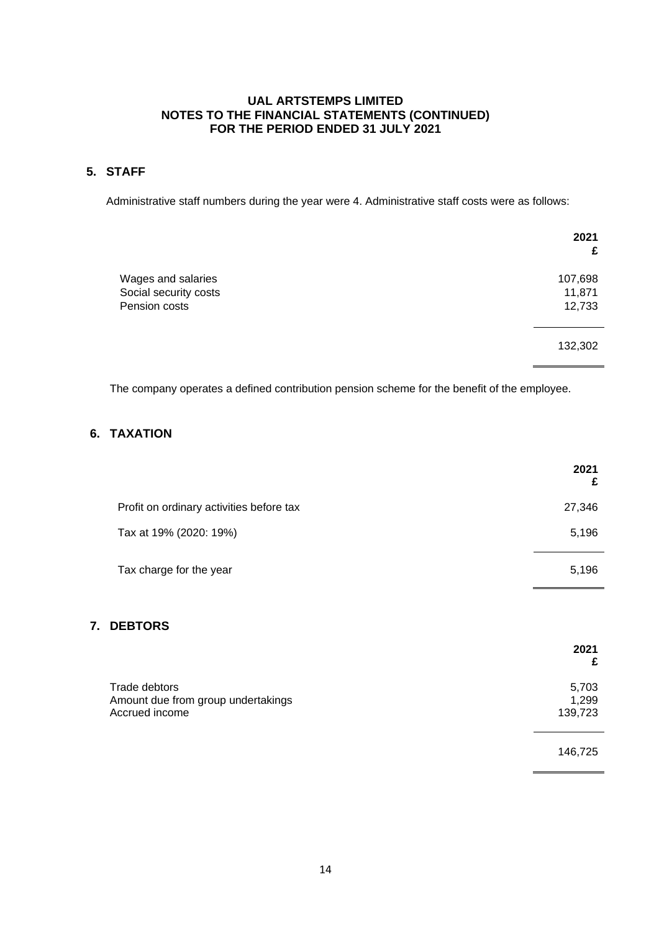# **5. STAFF**

Administrative staff numbers during the year were 4. Administrative staff costs were as follows:

| 2021<br>£ |
|-----------|
| 107,698   |
| 11,871    |
| 12,733    |
| 132,302   |
|           |

The company operates a defined contribution pension scheme for the benefit of the employee.

# **6. TAXATION**

|                                          | 2021<br>£ |
|------------------------------------------|-----------|
| Profit on ordinary activities before tax | 27,346    |
| Tax at 19% (2020: 19%)                   | 5,196     |
| Tax charge for the year                  | 5,196     |

# **7. DEBTORS**

|                                                                       | 2021<br>£                 |
|-----------------------------------------------------------------------|---------------------------|
| Trade debtors<br>Amount due from group undertakings<br>Accrued income | 5,703<br>1,299<br>139,723 |
|                                                                       | 146,725                   |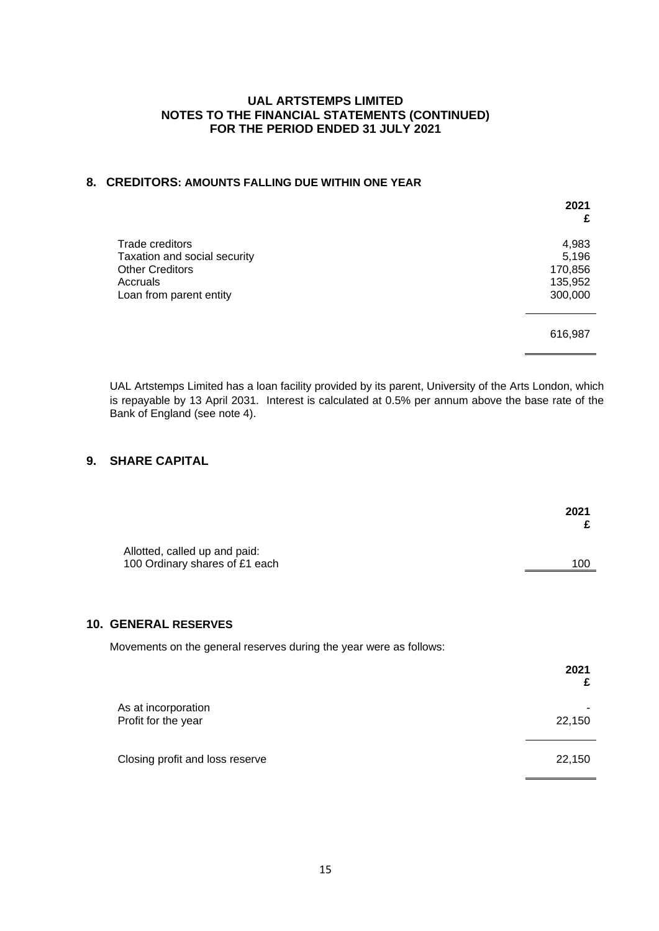# **8. CREDITORS: AMOUNTS FALLING DUE WITHIN ONE YEAR**

|                                                                                                                  | 2021<br>£                                       |
|------------------------------------------------------------------------------------------------------------------|-------------------------------------------------|
| Trade creditors<br>Taxation and social security<br><b>Other Creditors</b><br>Accruals<br>Loan from parent entity | 4,983<br>5,196<br>170,856<br>135,952<br>300,000 |
|                                                                                                                  | 616,987                                         |

UAL Artstemps Limited has a loan facility provided by its parent, University of the Arts London, which is repayable by 13 April 2031. Interest is calculated at 0.5% per annum above the base rate of the Bank of England (see note 4).

# **9. SHARE CAPITAL**

|                                                                 | 2021<br>£                                                                                 |
|-----------------------------------------------------------------|-------------------------------------------------------------------------------------------|
| Allotted, called up and paid:<br>100 Ordinary shares of £1 each | 100                                                                                       |
| <b>10. GENERAL RESERVES</b>                                     |                                                                                           |
|                                                                 |                                                                                           |
|                                                                 | 2021<br>£                                                                                 |
| As at incorporation                                             | 22,150                                                                                    |
|                                                                 | Movements on the general reserves during the year were as follows:<br>Profit for the year |

Closing profit and loss reserve 22,150